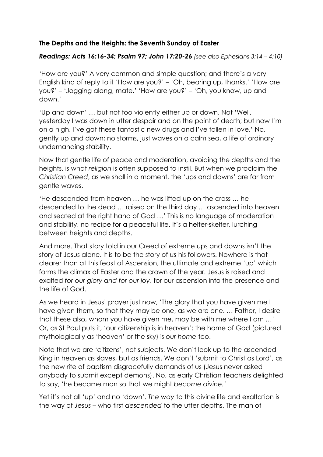## **The Depths and the Heights: the Seventh Sunday of Easter**

## *Readings: Acts 16:16-34; Psalm 97; John 17:20-26 (see also Ephesians 3:14 – 4:10)*

'How are you?' A very common and simple question; and there's a very English kind of reply to it 'How are you?' – 'Oh, bearing up, thanks.' 'How are you?' – 'Jogging along, mate.' 'How are you?' – 'Oh, you know, up and down.'

'Up and down' … but not too violently either up or down. Not 'Well, yesterday I was down in utter despair and on the point of death; but now I'm on a high, I've got these fantastic new drugs and I've fallen in love.' No, gently up and down; no storms, just waves on a calm sea, a life of ordinary undemanding stability.

Now that gentle life of peace and moderation, avoiding the depths and the heights, is what *religion* is often supposed to instil. But when we proclaim the *Christian Creed*, as we shall in a moment, the 'ups and downs' are far from gentle waves.

'He descended from heaven … he was lifted up on the cross … he descended to the dead … raised on the third day … ascended into heaven and seated at the right hand of God …' This is no language of moderation and stability, no recipe for a peaceful life. It's a helter-skelter, lurching between heights and depths.

And more. That story told in our Creed of extreme ups and downs isn't the story of Jesus alone. It is to be the story of *us* his followers. Nowhere is that clearer than at this feast of Ascension, the ultimate and extreme 'up' which forms the climax of Easter and the crown of the year. Jesus is raised and exalted *for our glory and for our joy*, for our ascension into the presence and the life of God.

As we heard in Jesus' prayer just now, 'The glory that you have given me I have given them, so that they may be one, as we are one. … Father, I desire that these also, whom you have given me, may be with me where I am …' Or, as St Paul puts it, 'our citizenship is in heaven'; the home of God (pictured mythologically as 'heaven' or the sky) is *our home* too.

Note that we are 'citizens', not subjects. We don't look up to the ascended King in heaven as slaves, but as friends. We don't 'submit to Christ as Lord', as the new rite of baptism disgracefully demands of us (Jesus never asked anybody to submit except demons). No, as early Christian teachers delighted to say, 'he became man so that we might *become divine.'*

Yet it's not all 'up' and no 'down'. *The way* to this divine life and exaltation is the way of *Jesus* – who first *descended* to the utter depths. The man of